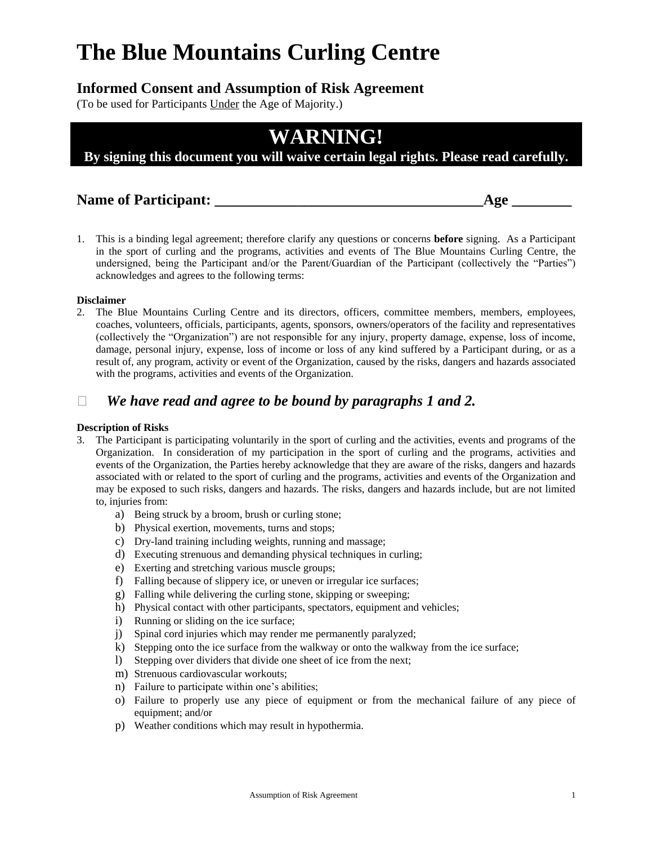# **The Blue Mountains Curling Centre**

## **Informed Consent and Assumption of Risk Agreement**

(To be used for Participants Under the Age of Majority.)

## **WARNING!**

**By signing this document you will waive certain legal rights. Please read carefully.**

### **Name of Participant:**  $\qquad \qquad$  **Age**

- 
- 1. This is a binding legal agreement; therefore clarify any questions or concerns **before** signing. As a Participant in the sport of curling and the programs, activities and events of The Blue Mountains Curling Centre, the undersigned, being the Participant and/or the Parent/Guardian of the Participant (collectively the "Parties") acknowledges and agrees to the following terms:

#### **Disclaimer**

2. The Blue Mountains Curling Centre and its directors, officers, committee members, members, employees, coaches, volunteers, officials, participants, agents, sponsors, owners/operators of the facility and representatives (collectively the "Organization") are not responsible for any injury, property damage, expense, loss of income, damage, personal injury, expense, loss of income or loss of any kind suffered by a Participant during, or as a result of, any program, activity or event of the Organization, caused by the risks, dangers and hazards associated with the programs, activities and events of the Organization.

## *We have read and agree to be bound by paragraphs 1 and 2.*

#### **Description of Risks**

- 3. The Participant is participating voluntarily in the sport of curling and the activities, events and programs of the Organization. In consideration of my participation in the sport of curling and the programs, activities and events of the Organization, the Parties hereby acknowledge that they are aware of the risks, dangers and hazards associated with or related to the sport of curling and the programs, activities and events of the Organization and may be exposed to such risks, dangers and hazards. The risks, dangers and hazards include, but are not limited to, injuries from:
	- a) Being struck by a broom, brush or curling stone;
	- b) Physical exertion, movements, turns and stops;
	- c) Dry-land training including weights, running and massage;
	- d) Executing strenuous and demanding physical techniques in curling;
	- e) Exerting and stretching various muscle groups;
	- f) Falling because of slippery ice, or uneven or irregular ice surfaces;
	- g) Falling while delivering the curling stone, skipping or sweeping;
	- h) Physical contact with other participants, spectators, equipment and vehicles;
	- i) Running or sliding on the ice surface;
	- j) Spinal cord injuries which may render me permanently paralyzed;
	- k) Stepping onto the ice surface from the walkway or onto the walkway from the ice surface;
	- l) Stepping over dividers that divide one sheet of ice from the next;
	- m) Strenuous cardiovascular workouts;
	- n) Failure to participate within one's abilities;
	- o) Failure to properly use any piece of equipment or from the mechanical failure of any piece of equipment; and/or
	- p) Weather conditions which may result in hypothermia.